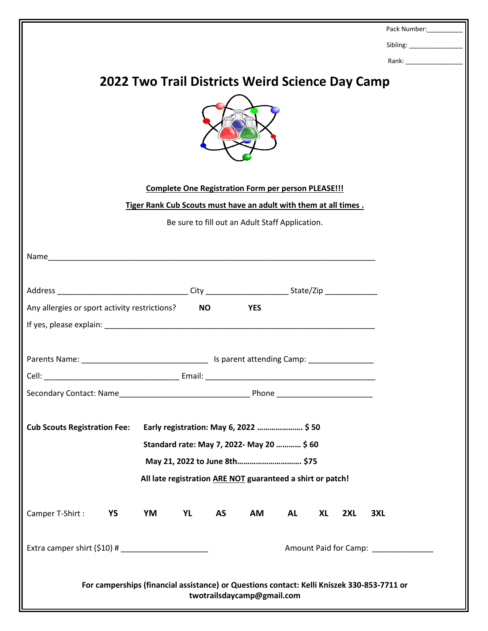|                                                                                                                          |                                                                  |           |            |           |           |     | Pack Number:               |
|--------------------------------------------------------------------------------------------------------------------------|------------------------------------------------------------------|-----------|------------|-----------|-----------|-----|----------------------------|
|                                                                                                                          |                                                                  |           |            |           |           |     |                            |
|                                                                                                                          |                                                                  |           |            |           |           |     |                            |
| <b>2022 Two Trail Districts Weird Science Day Camp</b>                                                                   |                                                                  |           |            |           |           |     |                            |
|                                                                                                                          |                                                                  |           |            |           |           |     |                            |
| <b>Complete One Registration Form per person PLEASE!!!</b>                                                               |                                                                  |           |            |           |           |     |                            |
|                                                                                                                          | Tiger Rank Cub Scouts must have an adult with them at all times. |           |            |           |           |     |                            |
| Be sure to fill out an Adult Staff Application.                                                                          |                                                                  |           |            |           |           |     |                            |
|                                                                                                                          |                                                                  |           |            |           |           |     |                            |
|                                                                                                                          |                                                                  |           |            |           |           |     |                            |
|                                                                                                                          |                                                                  |           |            |           |           |     |                            |
| Any allergies or sport activity restrictions?                                                                            |                                                                  | <b>NO</b> | <b>YES</b> |           |           |     |                            |
|                                                                                                                          |                                                                  |           |            |           |           |     |                            |
|                                                                                                                          |                                                                  |           |            |           |           |     |                            |
|                                                                                                                          |                                                                  |           |            |           |           |     |                            |
| Cell:<br>Email:                                                                                                          |                                                                  |           |            |           |           |     |                            |
|                                                                                                                          |                                                                  |           |            |           |           |     |                            |
|                                                                                                                          |                                                                  |           |            |           |           |     |                            |
| Early registration: May 6, 2022  \$50<br><b>Cub Scouts Registration Fee:</b>                                             |                                                                  |           |            |           |           |     |                            |
| Standard rate: May 7, 2022- May 20  \$ 60                                                                                |                                                                  |           |            |           |           |     |                            |
| May 21, 2022 to June 8th \$75                                                                                            |                                                                  |           |            |           |           |     |                            |
| All late registration ARE NOT guaranteed a shirt or patch!                                                               |                                                                  |           |            |           |           |     |                            |
|                                                                                                                          |                                                                  |           |            |           |           |     |                            |
| YS<br>Camper T-Shirt:                                                                                                    | YM<br>YL                                                         | <b>AS</b> | AM         | <b>AL</b> | <b>XL</b> | 2XL | 3XL                        |
|                                                                                                                          |                                                                  |           |            |           |           |     |                            |
|                                                                                                                          |                                                                  |           |            |           |           |     | Amount Paid for Camp: 2000 |
| For camperships (financial assistance) or Questions contact: Kelli Kniszek 330-853-7711 or<br>twotrailsdaycamp@gmail.com |                                                                  |           |            |           |           |     |                            |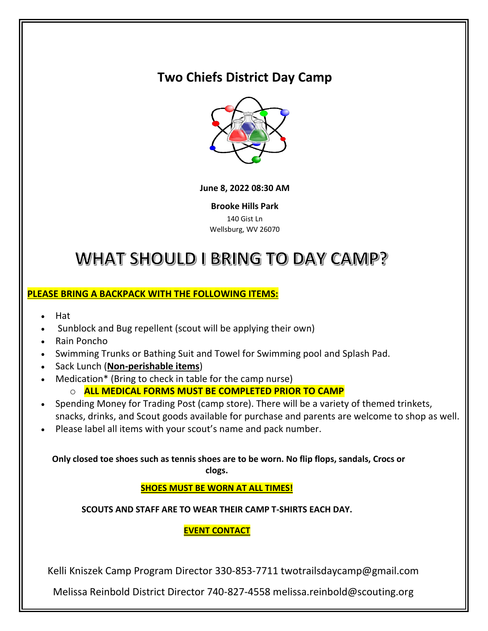## **Two Chiefs District Day Camp**



#### **[June 8, 2](https://commons.wikimedia.org/wiki/File:Science-symbol-2.svg)022 08:30 AM**

**[Broo](https://creativecommons.org/licenses/by-sa/3.0/)ke Hills Park**  140 Gist Ln Wellsburg, WV 26070

# WHAT SHOULD I BRING TO DAY CAMP?

#### **PLEASE BRING A BACKPACK WITH THE FOLLOWING ITEMS:**

- Hat
- Sunblock and Bug repellent (scout will be applying their own)
- Rain Poncho
- Swimming Trunks or Bathing Suit and Towel for Swimming pool and Splash Pad.
- Sack Lunch (**Non-perishable items**)
- Medication\* (Bring to check in table for the camp nurse) o **ALL MEDICAL FORMS MUST BE COMPLETED PRIOR TO CAMP**
- Spending Money for Trading Post (camp store). There will be a variety of themed trinkets,
- snacks, drinks, and Scout goods available for purchase and parents are welcome to shop as well. • Please label all items with your scout's name and pack number.

### **Only closed toe shoes such as tennis shoes are to be worn. No flip flops, sandals, Crocs or**

**clogs.**

**SHOES MUST BE WORN AT ALL TIMES!**

**SCOUTS AND STAFF ARE TO WEAR THEIR CAMP T-SHIRTS EACH DAY.**

#### **EVENT CONTACT**

Kelli Kniszek Camp Program Director 330-853-7711 twotrailsdaycamp@gmail.com

Melissa Reinbold District Director 740-827-4558 melissa.reinbold@scouting.org